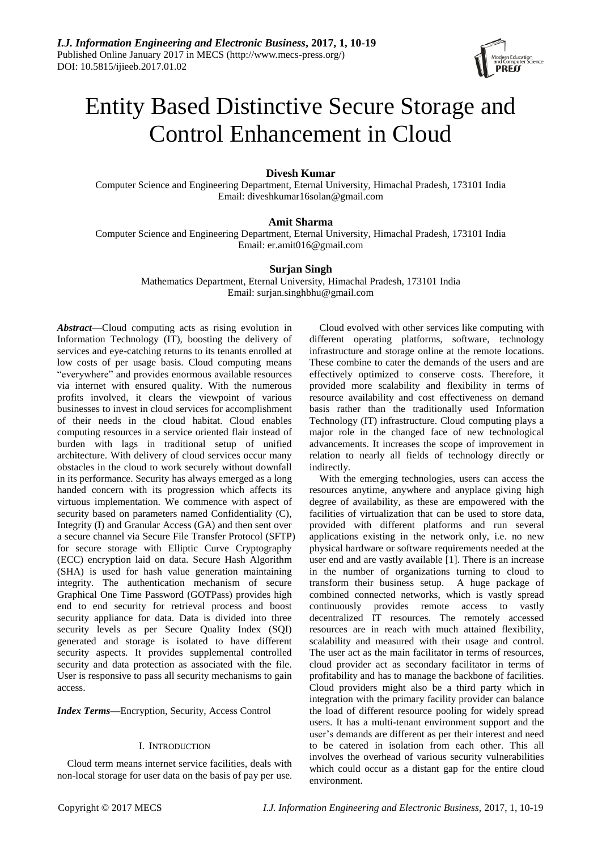

# Entity Based Distinctive Secure Storage and Control Enhancement in Cloud

# **Divesh Kumar**

Computer Science and Engineering Department, Eternal University, Himachal Pradesh, 173101 India Email: diveshkumar16solan@gmail.com

# **Amit Sharma**

Computer Science and Engineering Department, Eternal University, Himachal Pradesh, 173101 India Email: [er.amit016@gmail.com](mailto:er.amit016@gmail.com)

# **Surjan Singh**

Mathematics Department, Eternal University, Himachal Pradesh, 173101 India Email: surjan.singhbhu@gmail.com

*Abstract*—Cloud computing acts as rising evolution in Information Technology (IT), boosting the delivery of services and eye-catching returns to its tenants enrolled at low costs of per usage basis. Cloud computing means "everywhere" and provides enormous available resources via internet with ensured quality. With the numerous profits involved, it clears the viewpoint of various businesses to invest in cloud services for accomplishment of their needs in the cloud habitat. Cloud enables computing resources in a service oriented flair instead of burden with lags in traditional setup of unified architecture. With delivery of cloud services occur many obstacles in the cloud to work securely without downfall in its performance. Security has always emerged as a long handed concern with its progression which affects its virtuous implementation. We commence with aspect of security based on parameters named Confidentiality (C), Integrity (I) and Granular Access (GA) and then sent over a secure channel via Secure File Transfer Protocol (SFTP) for secure storage with Elliptic Curve Cryptography (ECC) encryption laid on data. Secure Hash Algorithm (SHA) is used for hash value generation maintaining integrity. The authentication mechanism of secure Graphical One Time Password (GOTPass) provides high end to end security for retrieval process and boost security appliance for data. Data is divided into three security levels as per Secure Quality Index (SQI) generated and storage is isolated to have different security aspects. It provides supplemental controlled security and data protection as associated with the file. User is responsive to pass all security mechanisms to gain access.

*Index Terms***—**Encryption, Security, Access Control

# I. INTRODUCTION

Cloud term means internet service facilities, deals with non-local storage for user data on the basis of pay per use.

Cloud evolved with other services like computing with different operating platforms, software, technology infrastructure and storage online at the remote locations. These combine to cater the demands of the users and are effectively optimized to conserve costs. Therefore, it provided more scalability and flexibility in terms of resource availability and cost effectiveness on demand basis rather than the traditionally used Information Technology (IT) infrastructure. Cloud computing plays a major role in the changed face of new technological advancements. It increases the scope of improvement in relation to nearly all fields of technology directly or indirectly.

With the emerging technologies, users can access the resources anytime, anywhere and anyplace giving high degree of availability, as these are empowered with the facilities of virtualization that can be used to store data, provided with different platforms and run several applications existing in the network only, i.e. no new physical hardware or software requirements needed at the user end and are vastly available [1]. There is an increase in the number of organizations turning to cloud to transform their business setup. A huge package of combined connected networks, which is vastly spread continuously provides remote access to vastly decentralized IT resources. The remotely accessed resources are in reach with much attained flexibility, scalability and measured with their usage and control. The user act as the main facilitator in terms of resources, cloud provider act as secondary facilitator in terms of profitability and has to manage the backbone of facilities. Cloud providers might also be a third party which in integration with the primary facility provider can balance the load of different resource pooling for widely spread users. It has a multi-tenant environment support and the user's demands are different as per their interest and need to be catered in isolation from each other. This all involves the overhead of various security vulnerabilities which could occur as a distant gap for the entire cloud environment.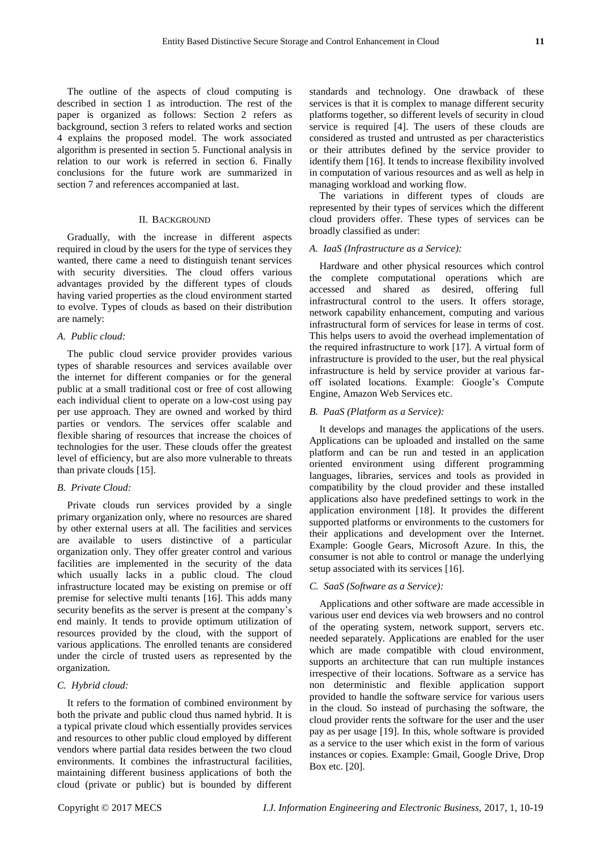The outline of the aspects of cloud computing is described in section 1 as introduction. The rest of the paper is organized as follows: Section 2 refers as background, section 3 refers to related works and section 4 explains the proposed model. The work associated algorithm is presented in section 5. Functional analysis in relation to our work is referred in section 6. Finally conclusions for the future work are summarized in section 7 and references accompanied at last.

## II. BACKGROUND

Gradually, with the increase in different aspects required in cloud by the users for the type of services they wanted, there came a need to distinguish tenant services with security diversities. The cloud offers various advantages provided by the different types of clouds having varied properties as the cloud environment started to evolve. Types of clouds as based on their distribution are namely:

## *A. Public cloud:*

The public cloud service provider provides various types of sharable resources and services available over the internet for different companies or for the general public at a small traditional cost or free of cost allowing each individual client to operate on a low-cost using pay per use approach. They are owned and worked by third parties or vendors. The services offer scalable and flexible sharing of resources that increase the choices of technologies for the user. These clouds offer the greatest level of efficiency, but are also more vulnerable to threats than private clouds [15].

## *B. Private Cloud:*

Private clouds run services provided by a single primary organization only, where no resources are shared by other external users at all. The facilities and services are available to users distinctive of a particular organization only. They offer greater control and various facilities are implemented in the security of the data which usually lacks in a public cloud. The cloud infrastructure located may be existing on premise or off premise for selective multi tenants [16]. This adds many security benefits as the server is present at the company's end mainly. It tends to provide optimum utilization of resources provided by the cloud, with the support of various applications. The enrolled tenants are considered under the circle of trusted users as represented by the organization.

## *C. Hybrid cloud:*

It refers to the formation of combined environment by both the private and public cloud thus named hybrid. It is a typical private cloud which essentially provides services and resources to other public cloud employed by different vendors where partial data resides between the two cloud environments. It combines the infrastructural facilities, maintaining different business applications of both the cloud (private or public) but is bounded by different standards and technology. One drawback of these services is that it is complex to manage different security platforms together, so different levels of security in cloud service is required [4]. The users of these clouds are considered as trusted and untrusted as per characteristics or their attributes defined by the service provider to identify them [16]. It tends to increase flexibility involved in computation of various resources and as well as help in managing workload and working flow.

The variations in different types of clouds are represented by their types of services which the different cloud providers offer. These types of services can be broadly classified as under:

## *A. IaaS (Infrastructure as a Service):*

Hardware and other physical resources which control the complete computational operations which are accessed and shared as desired, offering full infrastructural control to the users. It offers storage, network capability enhancement, computing and various infrastructural form of services for lease in terms of cost. This helps users to avoid the overhead implementation of the required infrastructure to work [17]. A virtual form of infrastructure is provided to the user, but the real physical infrastructure is held by service provider at various faroff isolated locations. Example: Google's Compute Engine, Amazon Web Services etc.

#### *B. PaaS (Platform as a Service):*

It develops and manages the applications of the users. Applications can be uploaded and installed on the same platform and can be run and tested in an application oriented environment using different programming languages, libraries, services and tools as provided in compatibility by the cloud provider and these installed applications also have predefined settings to work in the application environment [18]. It provides the different supported platforms or environments to the customers for their applications and development over the Internet. Example: Google Gears, Microsoft Azure. In this, the consumer is not able to control or manage the underlying setup associated with its services [16].

#### *C. SaaS (Software as a Service):*

Applications and other software are made accessible in various user end devices via web browsers and no control of the operating system, network support, servers etc. needed separately. Applications are enabled for the user which are made compatible with cloud environment, supports an architecture that can run multiple instances irrespective of their locations. Software as a service has non deterministic and flexible application support provided to handle the software service for various users in the cloud. So instead of purchasing the software, the cloud provider rents the software for the user and the user pay as per usage [19]. In this, whole software is provided as a service to the user which exist in the form of various instances or copies. Example: Gmail, Google Drive, Drop Box etc. [20].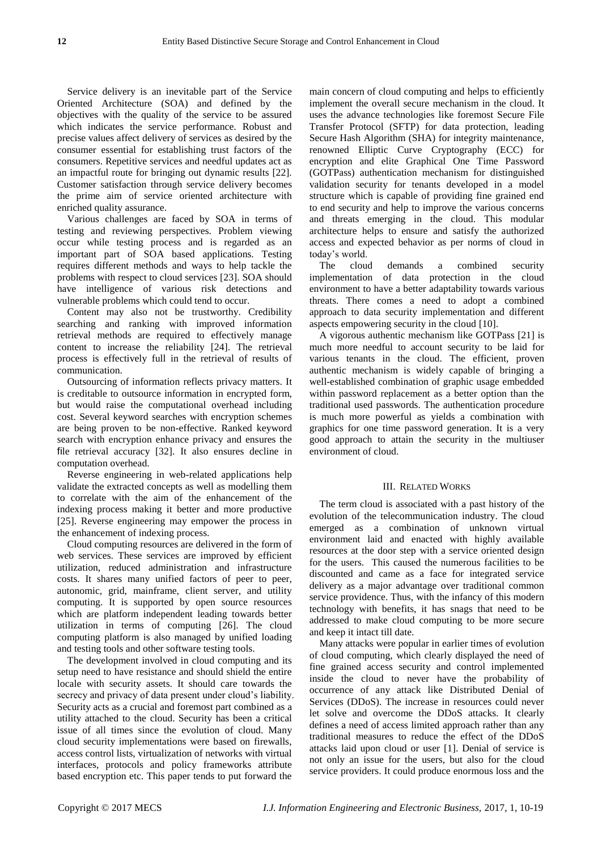Service delivery is an inevitable part of the Service Oriented Architecture (SOA) and defined by the objectives with the quality of the service to be assured which indicates the service performance. Robust and precise values affect delivery of services as desired by the consumer essential for establishing trust factors of the consumers. Repetitive services and needful updates act as an impactful route for bringing out dynamic results [22]. Customer satisfaction through service delivery becomes the prime aim of service oriented architecture with enriched quality assurance.

Various challenges are faced by SOA in terms of testing and reviewing perspectives. Problem viewing occur while testing process and is regarded as an important part of SOA based applications. Testing requires different methods and ways to help tackle the problems with respect to cloud services [23]. SOA should have intelligence of various risk detections and vulnerable problems which could tend to occur.

Content may also not be trustworthy. Credibility searching and ranking with improved information retrieval methods are required to effectively manage content to increase the reliability [24]. The retrieval process is effectively full in the retrieval of results of communication.

Outsourcing of information reflects privacy matters. It is creditable to outsource information in encrypted form, but would raise the computational overhead including cost. Several keyword searches with encryption schemes are being proven to be non-effective. Ranked keyword search with encryption enhance privacy and ensures the file retrieval accuracy [32]. It also ensures decline in computation overhead.

Reverse engineering in web-related applications help validate the extracted concepts as well as modelling them to correlate with the aim of the enhancement of the indexing process making it better and more productive [25]. Reverse engineering may empower the process in the enhancement of indexing process.

Cloud computing resources are delivered in the form of web services. These services are improved by efficient utilization, reduced administration and infrastructure costs. It shares many unified factors of peer to peer, autonomic, grid, mainframe, client server, and utility computing. It is supported by open source resources which are platform independent leading towards better utilization in terms of computing [26]. The cloud computing platform is also managed by unified loading and testing tools and other software testing tools.

The development involved in cloud computing and its setup need to have resistance and should shield the entire locale with security assets. It should care towards the secrecy and privacy of data present under cloud's liability. Security acts as a crucial and foremost part combined as a utility attached to the cloud. Security has been a critical issue of all times since the evolution of cloud. Many cloud security implementations were based on firewalls, access control lists, virtualization of networks with virtual interfaces, protocols and policy frameworks attribute based encryption etc. This paper tends to put forward the

main concern of cloud computing and helps to efficiently implement the overall secure mechanism in the cloud. It uses the advance technologies like foremost Secure File Transfer Protocol (SFTP) for data protection, leading Secure Hash Algorithm (SHA) for integrity maintenance, renowned Elliptic Curve Cryptography (ECC) for encryption and elite Graphical One Time Password (GOTPass) authentication mechanism for distinguished validation security for tenants developed in a model structure which is capable of providing fine grained end to end security and help to improve the various concerns and threats emerging in the cloud. This modular architecture helps to ensure and satisfy the authorized access and expected behavior as per norms of cloud in today's world.

The cloud demands a combined security implementation of data protection in the cloud environment to have a better adaptability towards various threats. There comes a need to adopt a combined approach to data security implementation and different aspects empowering security in the cloud [10].

A vigorous authentic mechanism like GOTPass [21] is much more needful to account security to be laid for various tenants in the cloud. The efficient, proven authentic mechanism is widely capable of bringing a well-established combination of graphic usage embedded within password replacement as a better option than the traditional used passwords. The authentication procedure is much more powerful as yields a combination with graphics for one time password generation. It is a very good approach to attain the security in the multiuser environment of cloud.

#### III. RELATED WORKS

The term cloud is associated with a past history of the evolution of the telecommunication industry. The cloud emerged as a combination of unknown virtual environment laid and enacted with highly available resources at the door step with a service oriented design for the users. This caused the numerous facilities to be discounted and came as a face for integrated service delivery as a major advantage over traditional common service providence. Thus, with the infancy of this modern technology with benefits, it has snags that need to be addressed to make cloud computing to be more secure and keep it intact till date.

Many attacks were popular in earlier times of evolution of cloud computing, which clearly displayed the need of fine grained access security and control implemented inside the cloud to never have the probability of occurrence of any attack like Distributed Denial of Services (DDoS). The increase in resources could never let solve and overcome the DDoS attacks. It clearly defines a need of access limited approach rather than any traditional measures to reduce the effect of the DDoS attacks laid upon cloud or user [1]. Denial of service is not only an issue for the users, but also for the cloud service providers. It could produce enormous loss and the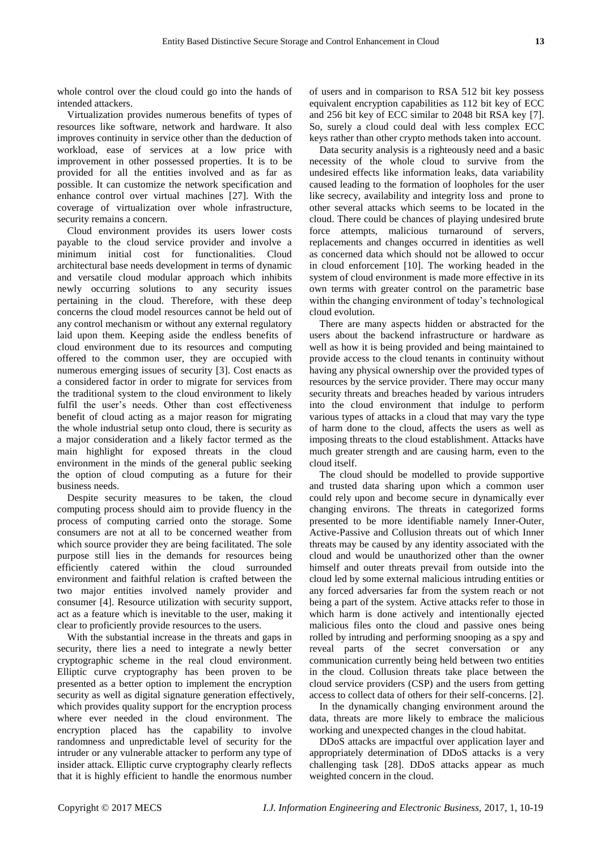whole control over the cloud could go into the hands of intended attackers.

Virtualization provides numerous benefits of types of resources like software, network and hardware. It also improves continuity in service other than the deduction of workload, ease of services at a low price with improvement in other possessed properties. It is to be provided for all the entities involved and as far as possible. It can customize the network specification and enhance control over virtual machines [27]. With the coverage of virtualization over whole infrastructure, security remains a concern.

Cloud environment provides its users lower costs payable to the cloud service provider and involve a minimum initial cost for functionalities. Cloud architectural base needs development in terms of dynamic and versatile cloud modular approach which inhibits newly occurring solutions to any security issues pertaining in the cloud. Therefore, with these deep concerns the cloud model resources cannot be held out of any control mechanism or without any external regulatory laid upon them. Keeping aside the endless benefits of cloud environment due to its resources and computing offered to the common user, they are occupied with numerous emerging issues of security [3]. Cost enacts as a considered factor in order to migrate for services from the traditional system to the cloud environment to likely fulfil the user's needs. Other than cost effectiveness benefit of cloud acting as a major reason for migrating the whole industrial setup onto cloud, there is security as a major consideration and a likely factor termed as the main highlight for exposed threats in the cloud environment in the minds of the general public seeking the option of cloud computing as a future for their business needs.

Despite security measures to be taken, the cloud computing process should aim to provide fluency in the process of computing carried onto the storage. Some consumers are not at all to be concerned weather from which source provider they are being facilitated. The sole purpose still lies in the demands for resources being efficiently catered within the cloud surrounded environment and faithful relation is crafted between the two major entities involved namely provider and consumer [4]. Resource utilization with security support, act as a feature which is inevitable to the user, making it clear to proficiently provide resources to the users.

With the substantial increase in the threats and gaps in security, there lies a need to integrate a newly better cryptographic scheme in the real cloud environment. Elliptic curve cryptography has been proven to be presented as a better option to implement the encryption security as well as digital signature generation effectively, which provides quality support for the encryption process where ever needed in the cloud environment. The encryption placed has the capability to involve randomness and unpredictable level of security for the intruder or any vulnerable attacker to perform any type of insider attack. Elliptic curve cryptography clearly reflects that it is highly efficient to handle the enormous number

of users and in comparison to RSA 512 bit key possess equivalent encryption capabilities as 112 bit key of ECC and 256 bit key of ECC similar to 2048 bit RSA key [7]. So, surely a cloud could deal with less complex ECC keys rather than other crypto methods taken into account.

Data security analysis is a righteously need and a basic necessity of the whole cloud to survive from the undesired effects like information leaks, data variability caused leading to the formation of loopholes for the user like secrecy, availability and integrity loss and prone to other several attacks which seems to be located in the cloud. There could be chances of playing undesired brute force attempts, malicious turnaround of servers, replacements and changes occurred in identities as well as concerned data which should not be allowed to occur in cloud enforcement [10]. The working headed in the system of cloud environment is made more effective in its own terms with greater control on the parametric base within the changing environment of today's technological cloud evolution.

There are many aspects hidden or abstracted for the users about the backend infrastructure or hardware as well as how it is being provided and being maintained to provide access to the cloud tenants in continuity without having any physical ownership over the provided types of resources by the service provider. There may occur many security threats and breaches headed by various intruders into the cloud environment that indulge to perform various types of attacks in a cloud that may vary the type of harm done to the cloud, affects the users as well as imposing threats to the cloud establishment. Attacks have much greater strength and are causing harm, even to the cloud itself.

The cloud should be modelled to provide supportive and trusted data sharing upon which a common user could rely upon and become secure in dynamically ever changing environs. The threats in categorized forms presented to be more identifiable namely Inner-Outer, Active-Passive and Collusion threats out of which Inner threats may be caused by any identity associated with the cloud and would be unauthorized other than the owner himself and outer threats prevail from outside into the cloud led by some external malicious intruding entities or any forced adversaries far from the system reach or not being a part of the system. Active attacks refer to those in which harm is done actively and intentionally ejected malicious files onto the cloud and passive ones being rolled by intruding and performing snooping as a spy and reveal parts of the secret conversation or any communication currently being held between two entities in the cloud. Collusion threats take place between the cloud service providers (CSP) and the users from getting access to collect data of others for their self-concerns. [2].

In the dynamically changing environment around the data, threats are more likely to embrace the malicious working and unexpected changes in the cloud habitat.

DDoS attacks are impactful over application layer and appropriately determination of DDoS attacks is a very challenging task [28]. DDoS attacks appear as much weighted concern in the cloud.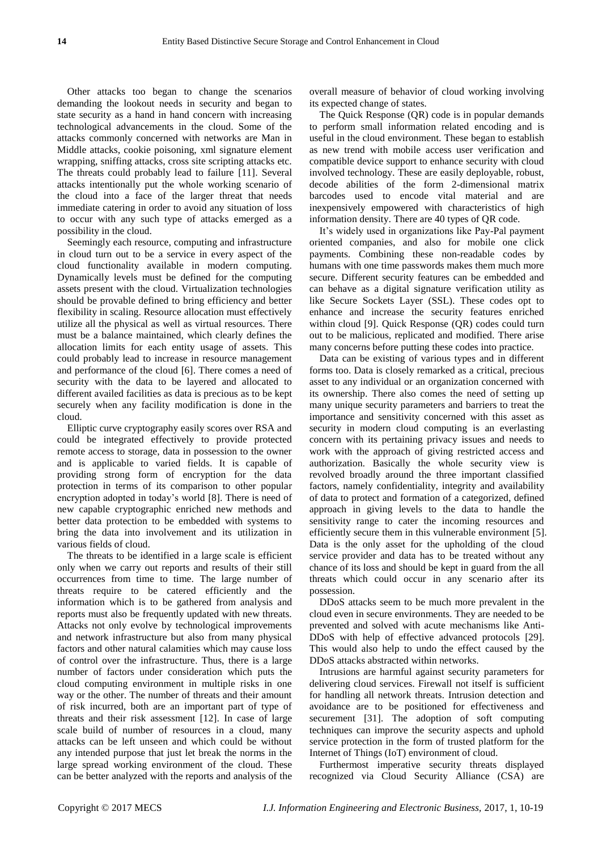Other attacks too began to change the scenarios demanding the lookout needs in security and began to state security as a hand in hand concern with increasing technological advancements in the cloud. Some of the attacks commonly concerned with networks are Man in Middle attacks, cookie poisoning, xml signature element wrapping, sniffing attacks, cross site scripting attacks etc. The threats could probably lead to failure [11]. Several attacks intentionally put the whole working scenario of the cloud into a face of the larger threat that needs immediate catering in order to avoid any situation of loss to occur with any such type of attacks emerged as a possibility in the cloud.

Seemingly each resource, computing and infrastructure in cloud turn out to be a service in every aspect of the cloud functionality available in modern computing. Dynamically levels must be defined for the computing assets present with the cloud. Virtualization technologies should be provable defined to bring efficiency and better flexibility in scaling. Resource allocation must effectively utilize all the physical as well as virtual resources. There must be a balance maintained, which clearly defines the allocation limits for each entity usage of assets. This could probably lead to increase in resource management and performance of the cloud [6]. There comes a need of security with the data to be layered and allocated to different availed facilities as data is precious as to be kept securely when any facility modification is done in the cloud.

Elliptic curve cryptography easily scores over RSA and could be integrated effectively to provide protected remote access to storage, data in possession to the owner and is applicable to varied fields. It is capable of providing strong form of encryption for the data protection in terms of its comparison to other popular encryption adopted in today's world [8]. There is need of new capable cryptographic enriched new methods and better data protection to be embedded with systems to bring the data into involvement and its utilization in various fields of cloud.

The threats to be identified in a large scale is efficient only when we carry out reports and results of their still occurrences from time to time. The large number of threats require to be catered efficiently and the information which is to be gathered from analysis and reports must also be frequently updated with new threats. Attacks not only evolve by technological improvements and network infrastructure but also from many physical factors and other natural calamities which may cause loss of control over the infrastructure. Thus, there is a large number of factors under consideration which puts the cloud computing environment in multiple risks in one way or the other. The number of threats and their amount of risk incurred, both are an important part of type of threats and their risk assessment [12]. In case of large scale build of number of resources in a cloud, many attacks can be left unseen and which could be without any intended purpose that just let break the norms in the large spread working environment of the cloud. These can be better analyzed with the reports and analysis of the

overall measure of behavior of cloud working involving its expected change of states.

The Quick Response (QR) code is in popular demands to perform small information related encoding and is useful in the cloud environment. These began to establish as new trend with mobile access user verification and compatible device support to enhance security with cloud involved technology. These are easily deployable, robust, decode abilities of the form 2-dimensional matrix barcodes used to encode vital material and are inexpensively empowered with characteristics of high information density. There are 40 types of QR code.

It's widely used in organizations like Pay-Pal payment oriented companies, and also for mobile one click payments. Combining these non-readable codes by humans with one time passwords makes them much more secure. Different security features can be embedded and can behave as a digital signature verification utility as like Secure Sockets Layer (SSL). These codes opt to enhance and increase the security features enriched within cloud [9]. Quick Response (QR) codes could turn out to be malicious, replicated and modified. There arise many concerns before putting these codes into practice.

Data can be existing of various types and in different forms too. Data is closely remarked as a critical, precious asset to any individual or an organization concerned with its ownership. There also comes the need of setting up many unique security parameters and barriers to treat the importance and sensitivity concerned with this asset as security in modern cloud computing is an everlasting concern with its pertaining privacy issues and needs to work with the approach of giving restricted access and authorization. Basically the whole security view is revolved broadly around the three important classified factors, namely confidentiality, integrity and availability of data to protect and formation of a categorized, defined approach in giving levels to the data to handle the sensitivity range to cater the incoming resources and efficiently secure them in this vulnerable environment [5]. Data is the only asset for the upholding of the cloud service provider and data has to be treated without any chance of its loss and should be kept in guard from the all threats which could occur in any scenario after its possession.

DDoS attacks seem to be much more prevalent in the cloud even in secure environments. They are needed to be prevented and solved with acute mechanisms like Anti-DDoS with help of effective advanced protocols [29]. This would also help to undo the effect caused by the DDoS attacks abstracted within networks.

Intrusions are harmful against security parameters for delivering cloud services. Firewall not itself is sufficient for handling all network threats. Intrusion detection and avoidance are to be positioned for effectiveness and securement [31]. The adoption of soft computing techniques can improve the security aspects and uphold service protection in the form of trusted platform for the Internet of Things (IoT) environment of cloud.

Furthermost imperative security threats displayed recognized via Cloud Security Alliance (CSA) are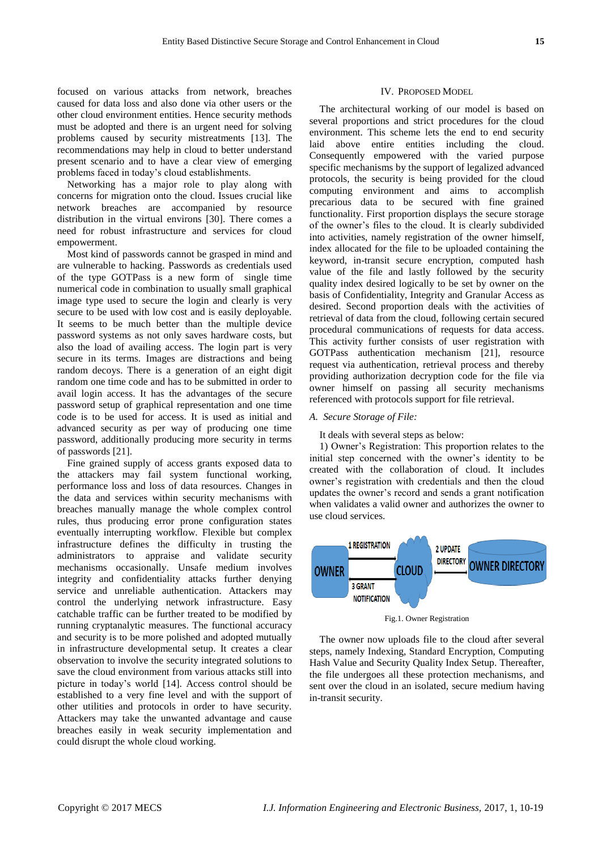focused on various attacks from network, breaches caused for data loss and also done via other users or the other cloud environment entities. Hence security methods must be adopted and there is an urgent need for solving problems caused by security mistreatments [13]. The recommendations may help in cloud to better understand present scenario and to have a clear view of emerging problems faced in today's cloud establishments.

Networking has a major role to play along with concerns for migration onto the cloud. Issues crucial like network breaches are accompanied by resource distribution in the virtual environs [30]. There comes a need for robust infrastructure and services for cloud empowerment.

Most kind of passwords cannot be grasped in mind and are vulnerable to hacking. Passwords as credentials used of the type GOTPass is a new form of single time numerical code in combination to usually small graphical image type used to secure the login and clearly is very secure to be used with low cost and is easily deployable. It seems to be much better than the multiple device password systems as not only saves hardware costs, but also the load of availing access. The login part is very secure in its terms. Images are distractions and being random decoys. There is a generation of an eight digit random one time code and has to be submitted in order to avail login access. It has the advantages of the secure password setup of graphical representation and one time code is to be used for access. It is used as initial and advanced security as per way of producing one time password, additionally producing more security in terms of passwords [21].

Fine grained supply of access grants exposed data to the attackers may fail system functional working, performance loss and loss of data resources. Changes in the data and services within security mechanisms with breaches manually manage the whole complex control rules, thus producing error prone configuration states eventually interrupting workflow. Flexible but complex infrastructure defines the difficulty in trusting the administrators to appraise and validate security mechanisms occasionally. Unsafe medium involves integrity and confidentiality attacks further denying service and unreliable authentication. Attackers may control the underlying network infrastructure. Easy catchable traffic can be further treated to be modified by running cryptanalytic measures. The functional accuracy and security is to be more polished and adopted mutually in infrastructure developmental setup. It creates a clear observation to involve the security integrated solutions to save the cloud environment from various attacks still into picture in today's world [14]. Access control should be established to a very fine level and with the support of other utilities and protocols in order to have security. Attackers may take the unwanted advantage and cause breaches easily in weak security implementation and could disrupt the whole cloud working.

## IV. PROPOSED MODEL

The architectural working of our model is based on several proportions and strict procedures for the cloud environment. This scheme lets the end to end security laid above entire entities including the cloud. Consequently empowered with the varied purpose specific mechanisms by the support of legalized advanced protocols, the security is being provided for the cloud computing environment and aims to accomplish precarious data to be secured with fine grained functionality. First proportion displays the secure storage of the owner's files to the cloud. It is clearly subdivided into activities, namely registration of the owner himself, index allocated for the file to be uploaded containing the keyword, in-transit secure encryption, computed hash value of the file and lastly followed by the security quality index desired logically to be set by owner on the basis of Confidentiality, Integrity and Granular Access as desired. Second proportion deals with the activities of retrieval of data from the cloud, following certain secured procedural communications of requests for data access. This activity further consists of user registration with GOTPass authentication mechanism [21], resource request via authentication, retrieval process and thereby providing authorization decryption code for the file via owner himself on passing all security mechanisms referenced with protocols support for file retrieval.

#### *A. Secure Storage of File:*

It deals with several steps as below:

1) Owner's Registration: This proportion relates to the initial step concerned with the owner's identity to be created with the collaboration of cloud. It includes owner's registration with credentials and then the cloud updates the owner's record and sends a grant notification when validates a valid owner and authorizes the owner to use cloud services.



Fig.1. Owner Registration

The owner now uploads file to the cloud after several steps, namely Indexing, Standard Encryption, Computing Hash Value and Security Quality Index Setup. Thereafter, the file undergoes all these protection mechanisms, and sent over the cloud in an isolated, secure medium having in-transit security.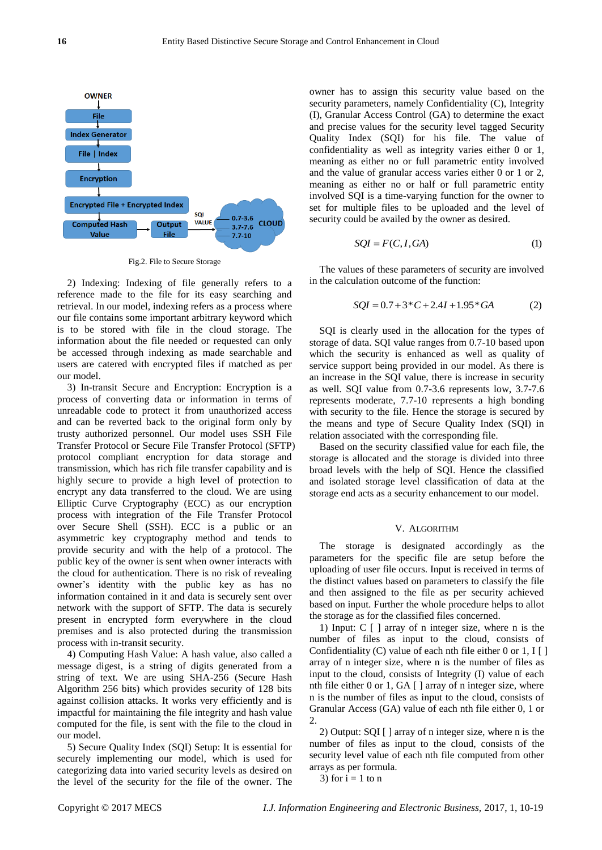

Fig.2. File to Secure Storage

2) Indexing: Indexing of file generally refers to a reference made to the file for its easy searching and retrieval. In our model, indexing refers as a process where our file contains some important arbitrary keyword which is to be stored with file in the cloud storage. The information about the file needed or requested can only be accessed through indexing as made searchable and users are catered with encrypted files if matched as per our model.

3) In-transit Secure and Encryption: Encryption is a process of converting data or information in terms of unreadable code to protect it from unauthorized access and can be reverted back to the original form only by trusty authorized personnel. Our model uses SSH File Transfer Protocol or Secure File Transfer Protocol (SFTP) protocol compliant encryption for data storage and transmission, which has rich file transfer capability and is highly secure to provide a high level of protection to encrypt any data transferred to the cloud. We are using Elliptic Curve Cryptography (ECC) as our encryption process with integration of the File Transfer Protocol over Secure Shell (SSH). ECC is a public or an asymmetric key cryptography method and tends to provide security and with the help of a protocol. The public key of the owner is sent when owner interacts with the cloud for authentication. There is no risk of revealing owner's identity with the public key as has no information contained in it and data is securely sent over network with the support of SFTP. The data is securely present in encrypted form everywhere in the cloud premises and is also protected during the transmission process with in-transit security.

4) Computing Hash Value: A hash value, also called a message digest, is a string of digits generated from a string of text. We are using SHA-256 (Secure Hash Algorithm 256 bits) which provides security of 128 bits against collision attacks. It works very efficiently and is impactful for maintaining the file integrity and hash value computed for the file, is sent with the file to the cloud in our model.

5) Secure Quality Index (SQI) Setup: It is essential for securely implementing our model, which is used for categorizing data into varied security levels as desired on the level of the security for the file of the owner. The owner has to assign this security value based on the security parameters, namely Confidentiality (C), Integrity (I), Granular Access Control (GA) to determine the exact and precise values for the security level tagged Security Quality Index (SQI) for his file. The value of confidentiality as well as integrity varies either 0 or 1, meaning as either no or full parametric entity involved and the value of granular access varies either 0 or 1 or 2, meaning as either no or half or full parametric entity involved SQI is a time-varying function for the owner to set for multiple files to be uploaded and the level of security could be availed by the owner as desired.

$$
SQL = F(C, I, GA)
$$
 (1)

The values of these parameters of security are involved in the calculation outcome of the function:

$$
SQL = 0.7 + 3 \times C + 2.4I + 1.95 \times GA \tag{2}
$$

SQI is clearly used in the allocation for the types of storage of data. SQI value ranges from 0.7-10 based upon which the security is enhanced as well as quality of service support being provided in our model. As there is an increase in the SQI value, there is increase in security as well. SQI value from 0.7-3.6 represents low, 3.7-7.6 represents moderate, 7.7-10 represents a high bonding with security to the file. Hence the storage is secured by the means and type of Secure Quality Index (SQI) in relation associated with the corresponding file.

Based on the security classified value for each file, the storage is allocated and the storage is divided into three broad levels with the help of SQI. Hence the classified and isolated storage level classification of data at the storage end acts as a security enhancement to our model.

## V. ALGORITHM

The storage is designated accordingly as the parameters for the specific file are setup before the uploading of user file occurs. Input is received in terms of the distinct values based on parameters to classify the file and then assigned to the file as per security achieved based on input. Further the whole procedure helps to allot the storage as for the classified files concerned.

1) Input: C [ ] array of n integer size, where n is the number of files as input to the cloud, consists of Confidentiality (C) value of each nth file either 0 or 1,  $I[\ ]$ array of n integer size, where n is the number of files as input to the cloud, consists of Integrity (I) value of each nth file either 0 or 1, GA [ ] array of n integer size, where n is the number of files as input to the cloud, consists of Granular Access (GA) value of each nth file either 0, 1 or 2.

2) Output: SQI [ ] array of n integer size, where n is the number of files as input to the cloud, consists of the security level value of each nth file computed from other arrays as per formula.

3) for  $i = 1$  to n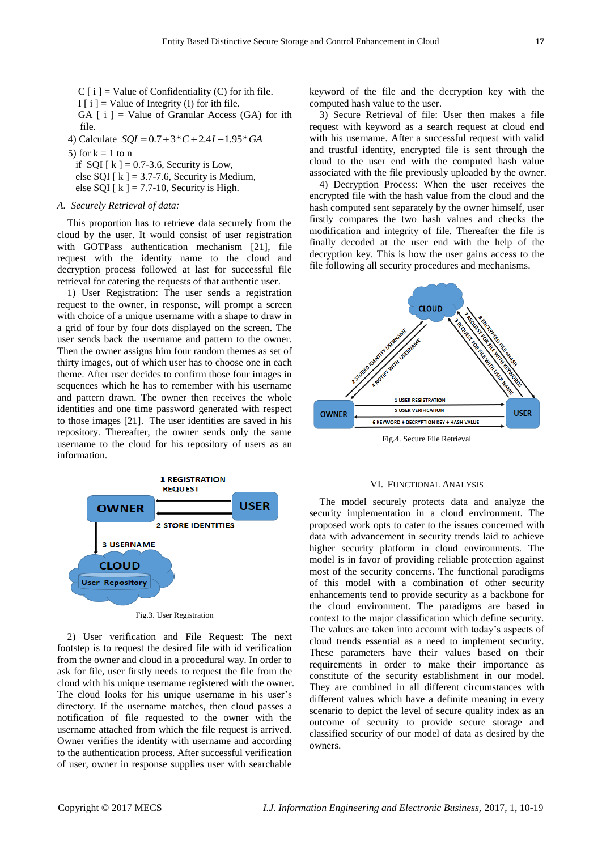$C[i]$  = Value of Confidentiality (C) for ith file. I  $[i]$  = Value of Integrity (I) for ith file. GA  $[i]$  = Value of Granular Access (GA) for ith

file.  $SQI = 0.7 + 3 * C + 2.4I + 1.95 * GA$ 

4) Calculate 
$$
SQL = 0.7 + 3 \times C + 2.4I + 1.95 \times GA
$$

- 5) for  $k = 1$  to n
	- if SQI  $[k] = 0.7-3.6$ , Security is Low,
	- else SQI  $[k] = 3.7-7.6$ , Security is Medium,
	- else SQI [ $k$ ] = 7.7-10, Security is High.

## *A. Securely Retrieval of data:*

This proportion has to retrieve data securely from the cloud by the user. It would consist of user registration with GOTPass authentication mechanism [21], file request with the identity name to the cloud and decryption process followed at last for successful file retrieval for catering the requests of that authentic user.

1) User Registration: The user sends a registration request to the owner, in response, will prompt a screen with choice of a unique username with a shape to draw in a grid of four by four dots displayed on the screen. The user sends back the username and pattern to the owner. Then the owner assigns him four random themes as set of thirty images, out of which user has to choose one in each theme. After user decides to confirm those four images in sequences which he has to remember with his username and pattern drawn. The owner then receives the whole identities and one time password generated with respect to those images [21]. The user identities are saved in his repository. Thereafter, the owner sends only the same username to the cloud for his repository of users as an information.



2) User verification and File Request: The next footstep is to request the desired file with id verification from the owner and cloud in a procedural way. In order to ask for file, user firstly needs to request the file from the cloud with his unique username registered with the owner. The cloud looks for his unique username in his user's directory. If the username matches, then cloud passes a notification of file requested to the owner with the username attached from which the file request is arrived. Owner verifies the identity with username and according to the authentication process. After successful verification of user, owner in response supplies user with searchable

keyword of the file and the decryption key with the computed hash value to the user.

3) Secure Retrieval of file: User then makes a file request with keyword as a search request at cloud end with his username. After a successful request with valid and trustful identity, encrypted file is sent through the cloud to the user end with the computed hash value associated with the file previously uploaded by the owner.

4) Decryption Process: When the user receives the encrypted file with the hash value from the cloud and the hash computed sent separately by the owner himself, user firstly compares the two hash values and checks the modification and integrity of file. Thereafter the file is finally decoded at the user end with the help of the decryption key. This is how the user gains access to the file following all security procedures and mechanisms.



## VI. FUNCTIONAL ANALYSIS

The model securely protects data and analyze the security implementation in a cloud environment. The proposed work opts to cater to the issues concerned with data with advancement in security trends laid to achieve higher security platform in cloud environments. The model is in favor of providing reliable protection against most of the security concerns. The functional paradigms of this model with a combination of other security enhancements tend to provide security as a backbone for the cloud environment. The paradigms are based in context to the major classification which define security. The values are taken into account with today's aspects of cloud trends essential as a need to implement security. These parameters have their values based on their requirements in order to make their importance as constitute of the security establishment in our model. They are combined in all different circumstances with different values which have a definite meaning in every scenario to depict the level of secure quality index as an outcome of security to provide secure storage and classified security of our model of data as desired by the owners.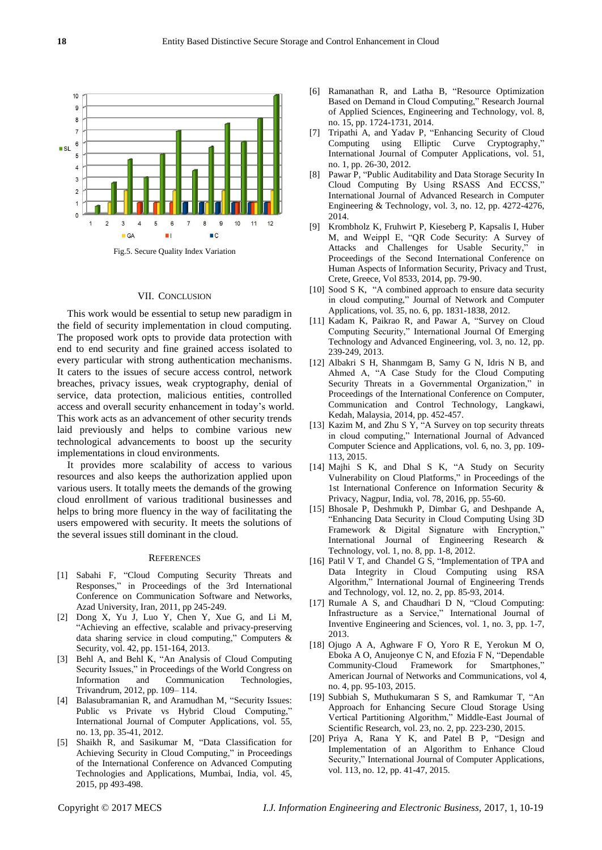

## VII. CONCLUSION

This work would be essential to setup new paradigm in the field of security implementation in cloud computing. The proposed work opts to provide data protection with end to end security and fine grained access isolated to every particular with strong authentication mechanisms. It caters to the issues of secure access control, network breaches, privacy issues, weak cryptography, denial of service, data protection, malicious entities, controlled access and overall security enhancement in today's world. This work acts as an advancement of other security trends laid previously and helps to combine various new technological advancements to boost up the security implementations in cloud environments.

It provides more scalability of access to various resources and also keeps the authorization applied upon various users. It totally meets the demands of the growing cloud enrollment of various traditional businesses and helps to bring more fluency in the way of facilitating the users empowered with security. It meets the solutions of the several issues still dominant in the cloud.

#### **REFERENCES**

- [1] Sabahi F, "Cloud Computing Security Threats and Responses," in Proceedings of the 3rd International Conference on Communication Software and Networks, Azad University, Iran, 2011, pp 245-249.
- [2] Dong X, Yu J, Luo Y, Chen Y, Xue G, and Li M, "Achieving an effective, scalable and privacy-preserving data sharing service in cloud computing," Computers & Security, vol. 42, pp. 151-164, 2013.
- [3] Behl A, and Behl K, "An Analysis of Cloud Computing Security Issues," in Proceedings of the World Congress on Information and Communication Technologies, Trivandrum, 2012, pp. 109– 114.
- [4] Balasubramanian R, and Aramudhan M, "Security Issues: Public vs Private vs Hybrid Cloud Computing," International Journal of Computer Applications, vol. 55, no. 13, pp. 35-41, 2012.
- [5] Shaikh R, and Sasikumar M, "Data Classification for Achieving Security in Cloud Computing," in Proceedings of the International Conference on Advanced Computing Technologies and Applications, Mumbai, India, vol. 45, 2015, pp 493-498.
- [6] Ramanathan R, and Latha B, "Resource Optimization Based on Demand in Cloud Computing," Research Journal of Applied Sciences, Engineering and Technology, vol. 8, no. 15, pp. 1724-1731, 2014.
- [7] Tripathi A, and Yadav P, "Enhancing Security of Cloud Computing using Elliptic Curve Cryptography," International Journal of Computer Applications, vol. 51, no. 1, pp. 26-30, 2012.
- [8] Pawar P, "Public Auditability and Data Storage Security In Cloud Computing By Using RSASS And ECCSS," International Journal of Advanced Research in Computer Engineering & Technology, vol. 3, no. 12, pp. 4272-4276, 2014.
- [9] Krombholz K, Fruhwirt P, Kieseberg P, Kapsalis I, Huber M, and Weippl E, "QR Code Security: A Survey of Attacks and Challenges for Usable Security," in Proceedings of the Second International Conference on Human Aspects of Information Security, Privacy and Trust, Crete, Greece, Vol 8533, 2014, pp. 79-90.
- [10] Sood S K, "A combined approach to ensure data security in cloud computing," Journal of Network and Computer Applications, vol. 35, no. 6, pp. 1831-1838, 2012.
- [11] Kadam K, Paikrao R, and Pawar A, "Survey on Cloud Computing Security," International Journal Of Emerging Technology and Advanced Engineering, vol. 3, no. 12, pp. 239-249, 2013.
- [12] Albakri S H, Shanmgam B, Samy G N, Idris N B, and Ahmed A, "A Case Study for the Cloud Computing Security Threats in a Governmental Organization," in Proceedings of the International Conference on Computer, Communication and Control Technology, Langkawi, Kedah, Malaysia, 2014, pp. 452-457.
- [13] Kazim M, and Zhu S Y, "A Survey on top security threats in cloud computing," International Journal of Advanced Computer Science and Applications, vol. 6, no. 3, pp. 109- 113, 2015.
- [14] Majhi S K, and Dhal S K, "A Study on Security Vulnerability on Cloud Platforms," in Proceedings of the 1st International Conference on Information Security & Privacy, Nagpur, India, vol. 78, 2016, pp. 55-60.
- [15] Bhosale P, Deshmukh P, Dimbar G, and Deshpande A, "Enhancing Data Security in Cloud Computing Using 3D Framework & Digital Signature with Encryption," International Journal of Engineering Research & Technology, vol. 1, no. 8, pp. 1-8, 2012.
- [16] Patil V T, and Chandel G S, "Implementation of TPA and Data Integrity in Cloud Computing using RSA Algorithm," International Journal of Engineering Trends and Technology, vol. 12, no. 2, pp. 85-93, 2014.
- [17] Rumale A S, and Chaudhari D N, "Cloud Computing: Infrastructure as a Service," International Journal of Inventive Engineering and Sciences, vol. 1, no. 3, pp. 1-7, 2013.
- [18] Ojugo A A, Aghware F O, Yoro R E, Yerokun M O, Eboka A O, Anujeonye C N, and Efozia F N, "Dependable Community-Cloud Framework for Smartphones," American Journal of Networks and Communications, vol 4, no. 4, pp. 95-103, 2015.
- [19] Subbiah S, Muthukumaran S S, and Ramkumar T, "An Approach for Enhancing Secure Cloud Storage Using Vertical Partitioning Algorithm," Middle-East Journal of Scientific Research, vol. 23, no. 2, pp. 223-230, 2015.
- [20] Priya A, Rana Y K, and Patel B P, "Design and Implementation of an Algorithm to Enhance Cloud Security," International Journal of Computer Applications, vol. 113, no. 12, pp. 41-47, 2015.